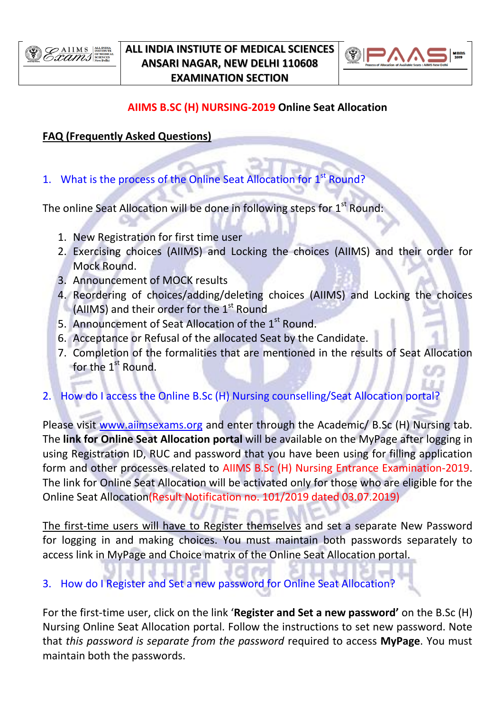

### **ALL INDIA INSTIUTE OF MEDICAL SCIENCES ANSARI NAGAR, NEW DELHI 110608 EXAMINATION SECTION**



## **AIIMS B.SC (H) NURSING-2019 Online Seat Allocation**

### **FAQ (Frequently Asked Questions)**

1. What is the process of the Online Seat Allocation for  $1<sup>st</sup>$  Round?

The online Seat Allocation will be done in following steps for  $1<sup>st</sup>$  Round:

- 1. New Registration for first time user
- 2. Exercising choices (AIIMS) and Locking the choices (AIIMS) and their order for Mock Round.
- 3. Announcement of MOCK results
- 4. Reordering of choices/adding/deleting choices (AIIMS) and Locking the choices (AIIMS) and their order for the 1<sup>st</sup> Round
- 5. Announcement of Seat Allocation of the 1<sup>st</sup> Round.
- 6. Acceptance or Refusal of the allocated Seat by the Candidate.
- 7. Completion of the formalities that are mentioned in the results of Seat Allocation for the 1<sup>st</sup> Round.
- 2. How do I access the Online B.Sc (H) Nursing counselling/Seat Allocation portal?

Please visit [www.aiimsexams.org](http://www.aiimsexams.org/) and enter through the Academic/ B.Sc (H) Nursing tab. The **link for Online Seat Allocation portal** will be available on the MyPage after logging in using Registration ID, RUC and password that you have been using for filling application form and other processes related to AIIMS B.Sc (H) Nursing Entrance Examination-2019. The link for Online Seat Allocation will be activated only for those who are eligible for the Online Seat Allocation(Result Notification no. 101/2019 dated 03.07.2019)

The first-time users will have to Register themselves and set a separate New Password for logging in and making choices. You must maintain both passwords separately to access link in MyPage and Choice matrix of the Online Seat Allocation portal.

## 3. How do I Register and Set a new password for Online Seat Allocation?

For the first-time user, click on the link '**Register and Set a new password'** on the B.Sc (H) Nursing Online Seat Allocation portal. Follow the instructions to set new password. Note that *this password is separate from the password* required to access **MyPage**. You must maintain both the passwords.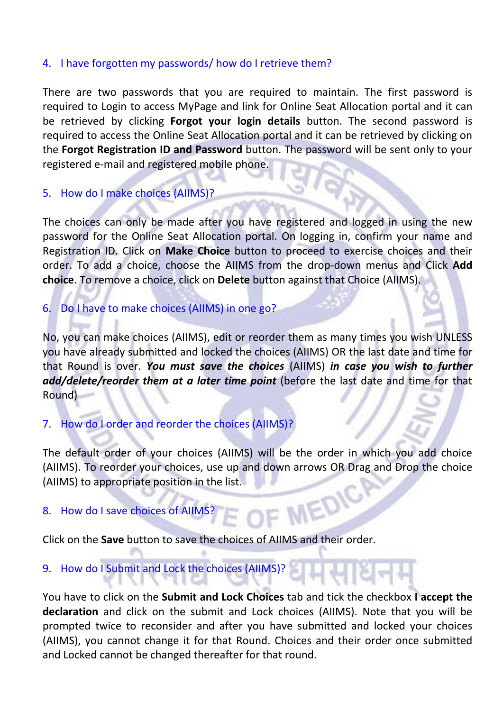#### 4. I have forgotten my passwords/ how do I retrieve them?

There are two passwords that you are required to maintain. The first password is required to Login to access MyPage and link for Online Seat Allocation portal and it can be retrieved by clicking **Forgot your login details** button. The second password is required to access the Online Seat Allocation portal and it can be retrieved by clicking on the **Forgot Registration ID and Password** button. The password will be sent only to your registered e-mail and registered mobile phone.

#### 5. How do I make choices (AIIMS)?

The choices can only be made after you have registered and logged in using the new password for the Online Seat Allocation portal. On logging in, confirm your name and Registration ID. Click on **Make Choice** button to proceed to exercise choices and their order. To add a choice, choose the AIIMS from the drop-down menus and Click **Add choice**. To remove a choice, click on **Delete** button against that Choice (AIIMS).

#### 6. Do I have to make choices (AIIMS) in one go?

No, you can make choices (AIIMS), edit or reorder them as many times you wish UNLESS you have already submitted and locked the choices (AIIMS) OR the last date and time for that Round is over. *You must save the choices* (AIIMS) *in case you wish to further add/delete/reorder them at a later time point* (before the last date and time for that Round)

## 7. How do I order and reorder the choices (AIIMS)?

The default order of your choices (AIIMS) will be the order in which you add choice (AIIMS). To reorder your choices, use up and down arrows OR Drag and Drop the choice (AIIMS) to appropriate position in the list. MEDIC

#### 8. How do I save choices of AIIM

Click on the **Save** button to save the choices of AIIMS and their order.

### 9. How do I Submit and Lock the choices (AIIMS)?

You have to click on the **Submit and Lock Choices** tab and tick the checkbox **I accept the declaration** and click on the submit and Lock choices (AIIMS). Note that you will be prompted twice to reconsider and after you have submitted and locked your choices (AIIMS), you cannot change it for that Round. Choices and their order once submitted and Locked cannot be changed thereafter for that round.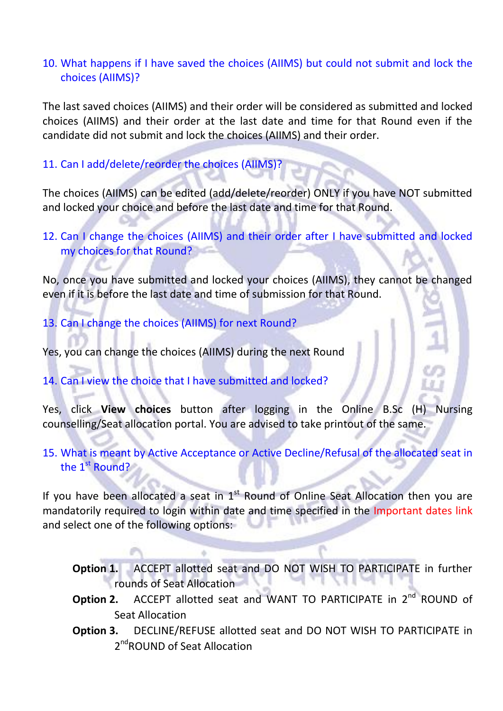### 10. What happens if I have saved the choices (AIIMS) but could not submit and lock the choices (AIIMS)?

The last saved choices (AIIMS) and their order will be considered as submitted and locked choices (AIIMS) and their order at the last date and time for that Round even if the candidate did not submit and lock the choices (AIIMS) and their order.

#### 11. Can I add/delete/reorder the choices (AIIMS)?

The choices (AIIMS) can be edited (add/delete/reorder) ONLY if you have NOT submitted and locked your choice and before the last date and time for that Round.

# 12. Can I change the choices (AIIMS) and their order after I have submitted and locked my choices for that Round?

No, once you have submitted and locked your choices (AIIMS), they cannot be changed even if it is before the last date and time of submission for that Round.

13. Can I change the choices (AIIMS) for next Round?

Yes, you can change the choices (AIIMS) during the next Round

## 14. Can I view the choice that I have submitted and locked?

Yes, click **View choices** button after logging in the Online B.Sc (H) Nursing counselling/Seat allocation portal. You are advised to take printout of the same.

# 15. What is meant by Active Acceptance or Active Decline/Refusal of the allocated seat in the 1<sup>st</sup> Round?

If you have been allocated a seat in  $1<sup>st</sup>$  Round of Online Seat Allocation then you are mandatorily required to login within date and time specified in the Important dates link and select one of the following options:

- **Option 1.** ACCEPT allotted seat and DO NOT WISH TO PARTICIPATE in further rounds of Seat Allocation
- **Option 2.** ACCEPT allotted seat and WANT TO PARTICIPATE in 2<sup>nd</sup> ROUND of Seat Allocation
- **Option 3.** DECLINE/REFUSE allotted seat and DO NOT WISH TO PARTICIPATE in 2<sup>nd</sup>ROUND of Seat Allocation